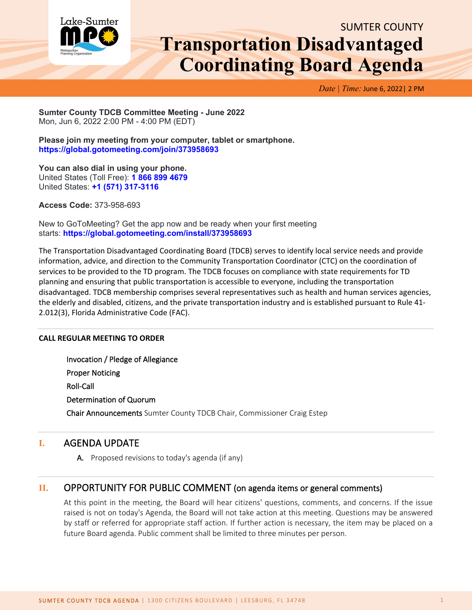

# SUMTER COUNTY **Transportation Disadvantaged Coordinating Board Agenda**

*Date | Time:* June 6, 2022| 2 PM

**Sumter County TDCB Committee Meeting - June 2022** Mon, Jun 6, 2022 2:00 PM - 4:00 PM (EDT)

**Please join my meeting from your computer, tablet or smartphone. <https://global.gotomeeting.com/join/373958693>**

**You can also dial in using your phone.** United States (Toll Free): **[1 866 899 4679](tel:+18668994679,,373958693)** United States: **[+1 \(571\) 317-3116](tel:+15713173116,,373958693)**

**Access Code:** 373-958-693

New to GoToMeeting? Get the app now and be ready when your first meeting starts: **<https://global.gotomeeting.com/install/373958693>**

The Transportation Disadvantaged Coordinating Board (TDCB) serves to identify local service needs and provide information, advice, and direction to the Community Transportation Coordinator (CTC) on the coordination of services to be provided to the TD program. The TDCB focuses on compliance with state requirements for TD planning and ensuring that public transportation is accessible to everyone, including the transportation disadvantaged. TDCB membership comprises several representatives such as health and human services agencies, the elderly and disabled, citizens, and the private transportation industry and is established pursuant to Rule 41- 2.012(3), Florida Administrative Code (FAC).

#### **CALL REGULAR MEETING TO ORDER**

Invocation / Pledge of Allegiance Proper Noticing Roll-Call Determination of Quorum Chair Announcements Sumter County TDCB Chair, Commissioner Craig Estep

## **I.** AGENDA UPDATE

A. Proposed revisions to today's agenda (if any)

## **II.** OPPORTUNITY FOR PUBLIC COMMENT (on agenda items or general comments)

At this point in the meeting, the Board will hear citizens' questions, comments, and concerns. If the issue raised is not on today's Agenda, the Board will not take action at this meeting. Questions may be answered by staff or referred for appropriate staff action. If further action is necessary, the item may be placed on a future Board agenda. Public comment shall be limited to three minutes per person.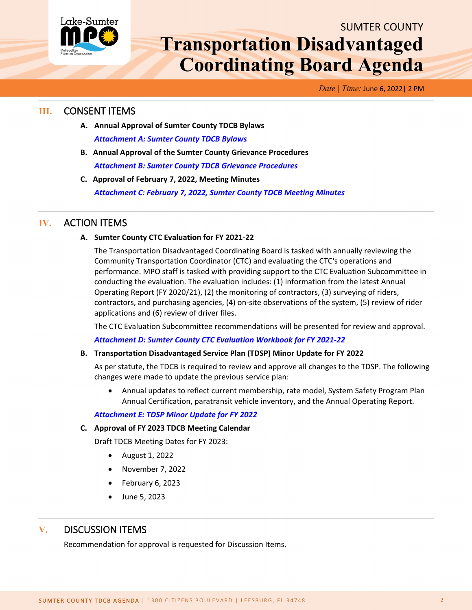

# SUMTER COUNTY **Transportation Disadvantaged Coordinating Board Agenda**

*Date | Time:* June 6, 2022| 2 PM

## **III.** CONSENT ITEMS

- **A. Annual Approval of Sumter County TDCB Bylaws** *[Attachment A: Sumter County TDCB Bylaws](http://www.lakesumtermpo.com/media/dabnqucb/sumter-county-td-bylaws-final.pdf)*
- **B. Annual Approval of the Sumter County Grievance Procedures** *Attachment [B: Sumter County TDCB Grievance Procedures](http://www.lakesumtermpo.com/media/m2ae1xq3/sumter-grievance-2022.pdf)*
- **C. Approval of February 7, 2022, Meeting Minutes** *[Attachment C: February 7, 2022, Sumter County TDCB Meeting Minutes](http://www.lakesumtermpo.com/media/megmcsjh/c-sc-tdcb-february-7-2022-minutes.pdf)*

## **IV.** ACTION ITEMS

#### **A. Sumter County CTC Evaluation for FY 2021-22**

The Transportation Disadvantaged Coordinating Board is tasked with annually reviewing the Community Transportation Coordinator (CTC) and evaluating the CTC's operations and performance. MPO staff is tasked with providing support to the CTC Evaluation Subcommittee in conducting the evaluation. The evaluation includes: (1) information from the latest Annual Operating Report (FY 2020/21), (2) the monitoring of contractors, (3) surveying of riders, contractors, and purchasing agencies, (4) on-site observations of the system, (5) review of rider applications and (6) review of driver files.

The CTC Evaluation Subcommittee recommendations will be presented for review and approval.

*[Attachment D: Sumter County CTC Evaluation Workbook for FY 2021-22](http://www.lakesumtermpo.com/media/galdkvut/d-sumter-county-ctc-evaluation-fy21-22.pdf)*

#### **B. Transportation Disadvantaged Service Plan (TDSP) Minor Update for FY 2022**

As per statute, the TDCB is required to review and approve all changes to the TDSP. The following changes were made to update the previous service plan:

• Annual updates to reflect current membership, rate model, System Safety Program Plan Annual Certification, paratransit vehicle inventory, and the Annual Operating Report.

#### *[Attachment E: TDSP Minor Update for FY 2022](http://www.lakesumtermpo.com/media/1u4bnxtl/e-sumter-tdsp-2021-2022-minor-update-track-changes_final.pdf)*

#### **C. Approval of FY 2023 TDCB Meeting Calendar**

Draft TDCB Meeting Dates for FY 2023:

- August 1, 2022
- November 7, 2022
- February 6, 2023
- June 5, 2023

# **V.** DISCUSSION ITEMS

Recommendation for approval is requested for Discussion Items.